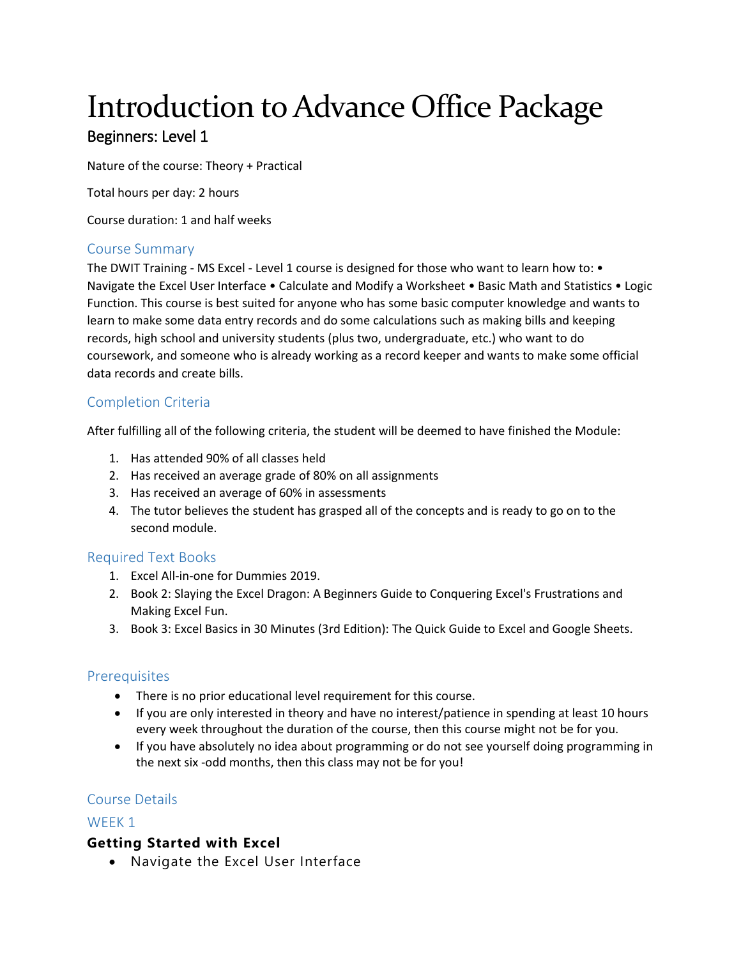# Introduction to Advance Office Package Beginners: Level 1

Nature of the course: Theory + Practical

Total hours per day: 2 hours

Course duration: 1 and half weeks

#### Course Summary

The DWIT Training - MS Excel - Level 1 course is designed for those who want to learn how to: • Navigate the Excel User Interface • Calculate and Modify a Worksheet • Basic Math and Statistics • Logic Function. This course is best suited for anyone who has some basic computer knowledge and wants to learn to make some data entry records and do some calculations such as making bills and keeping records, high school and university students (plus two, undergraduate, etc.) who want to do coursework, and someone who is already working as a record keeper and wants to make some official data records and create bills.

# Completion Criteria

After fulfilling all of the following criteria, the student will be deemed to have finished the Module:

- 1. Has attended 90% of all classes held
- 2. Has received an average grade of 80% on all assignments
- 3. Has received an average of 60% in assessments
- 4. The tutor believes the student has grasped all of the concepts and is ready to go on to the second module.

# Required Text Books

- 1. Excel All-in-one for Dummies 2019.
- 2. Book 2: Slaying the Excel Dragon: A Beginners Guide to Conquering Excel's Frustrations and Making Excel Fun.
- 3. Book 3: Excel Basics in 30 Minutes (3rd Edition): The Quick Guide to Excel and Google Sheets.

#### **Prerequisites**

- There is no prior educational level requirement for this course.
- If you are only interested in theory and have no interest/patience in spending at least 10 hours every week throughout the duration of the course, then this course might not be for you.
- If you have absolutely no idea about programming or do not see yourself doing programming in the next six -odd months, then this class may not be for you!

#### Course Details

#### WFFK<sub>1</sub>

# **Getting Started with Excel**

Navigate the Excel User Interface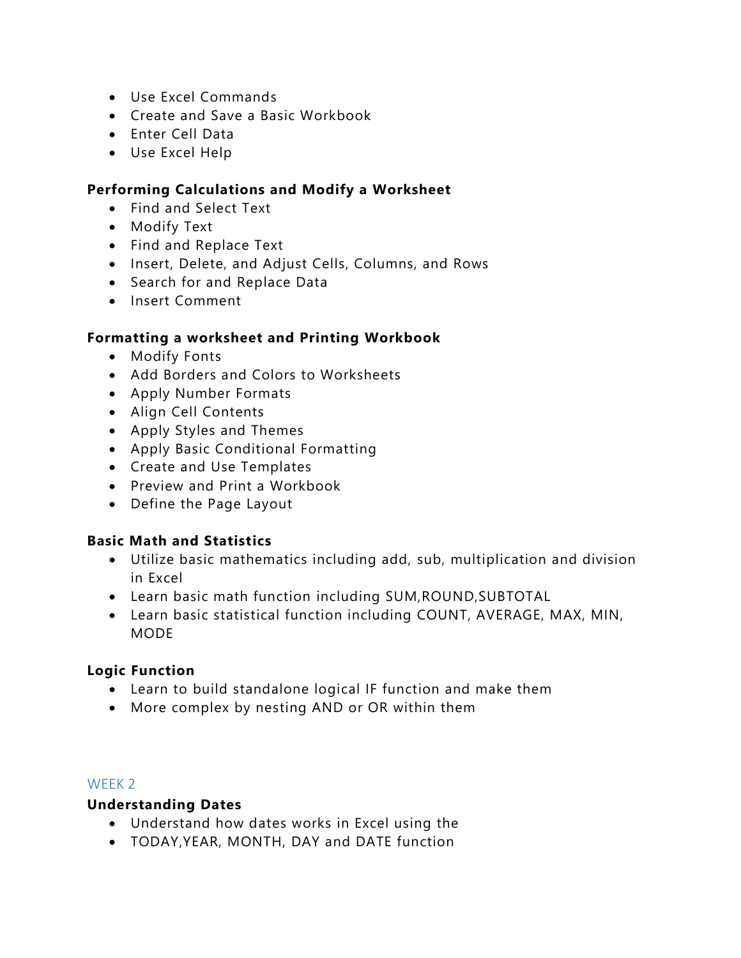- Use Excel Commands
- Create and Save a Basic Workbook
- Enter Cell Data
- Use Excel Help

# **Performing Calculations and Modify a Worksheet**

- Find and Select Text
- Modify Text
- Find and Replace Text
- . Insert, Delete, and Adjust Cells, Columns, and Rows
- Search for and Replace Data
- Insert Comment

# **Formatting a worksheet and Printing Workbook**

- Modify Fonts
- Add Borders and Colors to Worksheets
- Apply Number Formats
- Align Cell Contents
- Apply Styles and Themes
- Apply Basic Conditional Formatting
- Create and Use Templates
- Preview and Print a Workbook
- Define the Page Layout

# **Basic Math and Statistics**

- Utilize basic mathematics including add, sub, multiplication and division in Excel
- Learn basic math function including SUM,ROUND,SUBTOTAL
- Learn basic statistical function including COUNT, AVERAGE, MAX, MIN, MODE

# **Logic Function**

- Learn to build standalone logical IF function and make them
- More complex by nesting AND or OR within them

# WEEK 2

# **Understanding Dates**

- Understand how dates works in Excel using the
- TODAY,YEAR, MONTH, DAY and DATE function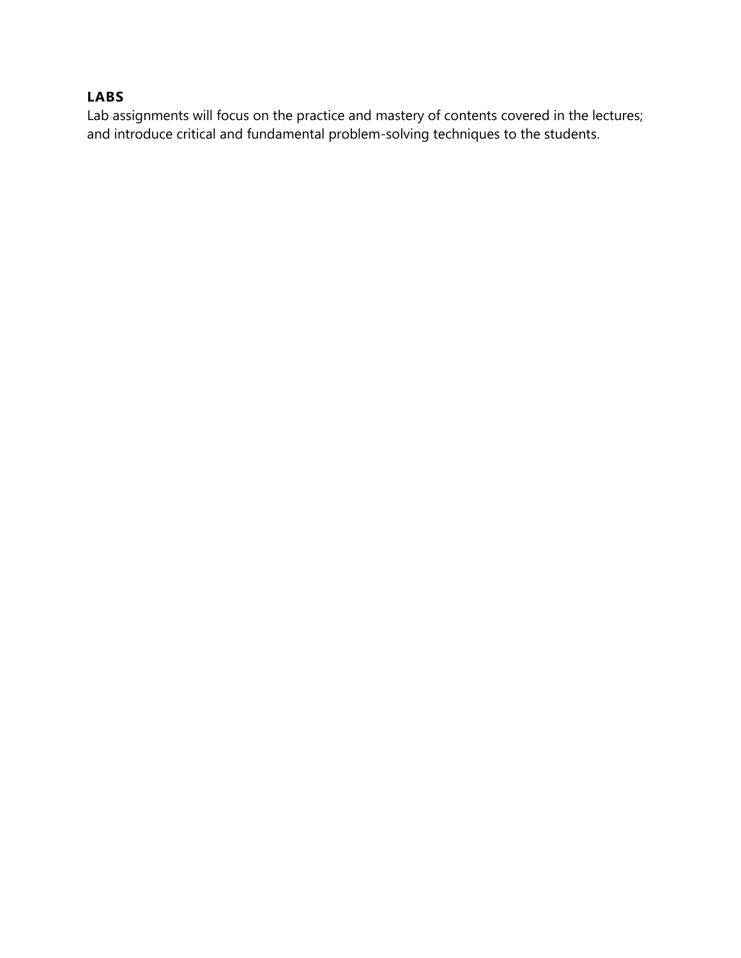# **LABS**

Lab assignments will focus on the practice and mastery of contents covered in the lectures; and introduce critical and fundamental problem-solving techniques to the students.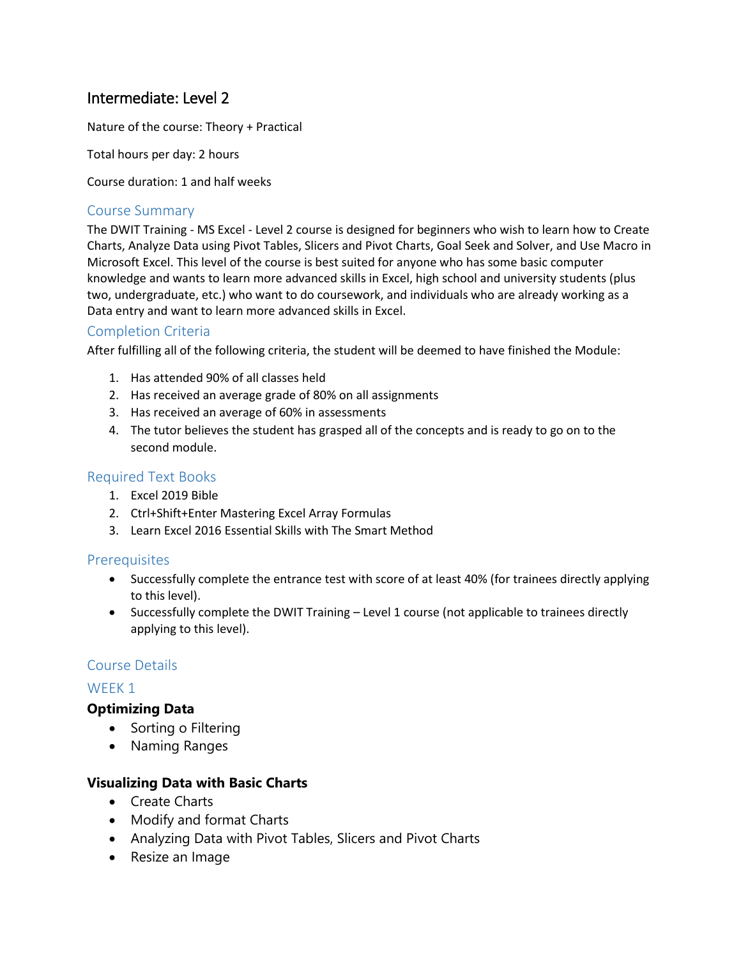# Intermediate: Level 2

Nature of the course: Theory + Practical

Total hours per day: 2 hours

Course duration: 1 and half weeks

#### Course Summary

The DWIT Training - MS Excel - Level 2 course is designed for beginners who wish to learn how to Create Charts, Analyze Data using Pivot Tables, Slicers and Pivot Charts, Goal Seek and Solver, and Use Macro in Microsoft Excel. This level of the course is best suited for anyone who has some basic computer knowledge and wants to learn more advanced skills in Excel, high school and university students (plus two, undergraduate, etc.) who want to do coursework, and individuals who are already working as a Data entry and want to learn more advanced skills in Excel.

# Completion Criteria

After fulfilling all of the following criteria, the student will be deemed to have finished the Module:

- 1. Has attended 90% of all classes held
- 2. Has received an average grade of 80% on all assignments
- 3. Has received an average of 60% in assessments
- 4. The tutor believes the student has grasped all of the concepts and is ready to go on to the second module.

#### Required Text Books

- 1. Excel 2019 Bible
- 2. Ctrl+Shift+Enter Mastering Excel Array Formulas
- 3. Learn Excel 2016 Essential Skills with The Smart Method

#### **Prerequisites**

- Successfully complete the entrance test with score of at least 40% (for trainees directly applying to this level).
- Successfully complete the DWIT Training Level 1 course (not applicable to trainees directly applying to this level).

#### Course Details

#### WEEK<sub>1</sub>

# **Optimizing Data**

- Sorting o Filtering
- Naming Ranges

#### **Visualizing Data with Basic Charts**

- Create Charts
- Modify and format Charts
- Analyzing Data with Pivot Tables, Slicers and Pivot Charts
- Resize an Image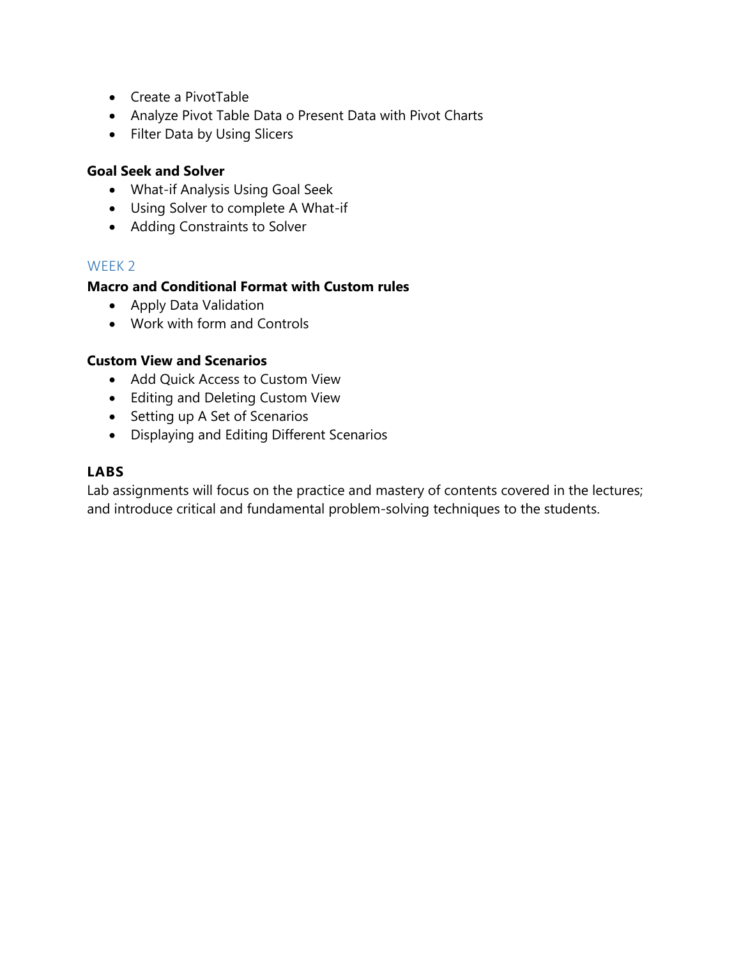- Create a PivotTable
- Analyze Pivot Table Data o Present Data with Pivot Charts
- Filter Data by Using Slicers

## **Goal Seek and Solver**

- What-if Analysis Using Goal Seek
- Using Solver to complete A What-if
- Adding Constraints to Solver

#### WEEK 2

# **Macro and Conditional Format with Custom rules**

- Apply Data Validation
- Work with form and Controls

#### **Custom View and Scenarios**

- Add Quick Access to Custom View
- Editing and Deleting Custom View
- Setting up A Set of Scenarios
- Displaying and Editing Different Scenarios

## **LABS**

Lab assignments will focus on the practice and mastery of contents covered in the lectures; and introduce critical and fundamental problem-solving techniques to the students.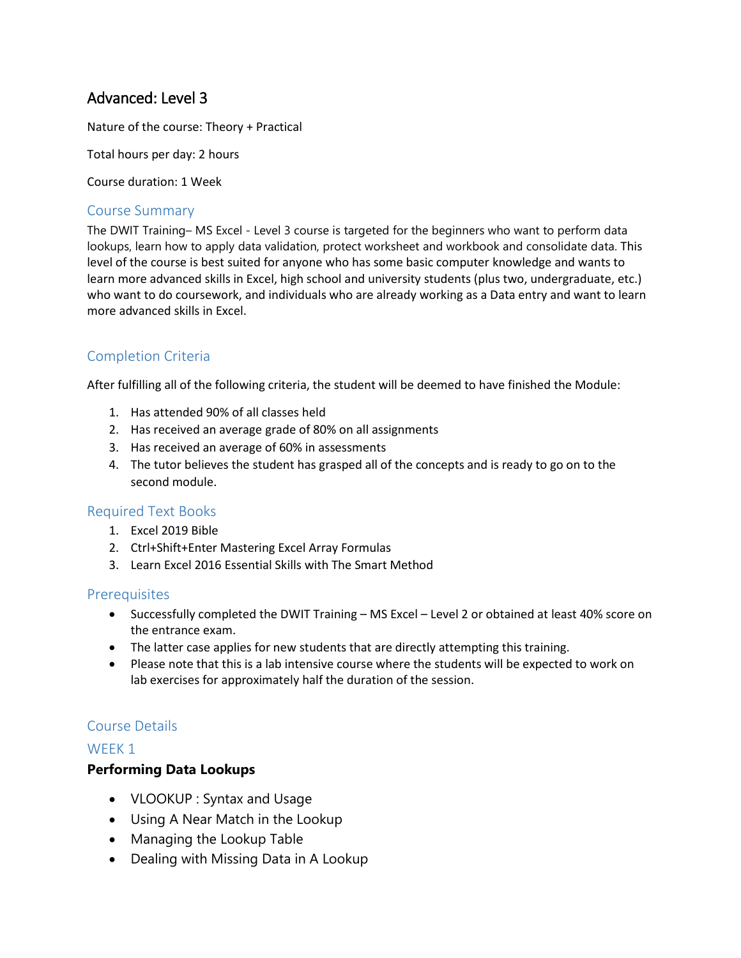# Advanced: Level 3

Nature of the course: Theory + Practical

Total hours per day: 2 hours

Course duration: 1 Week

## Course Summary

The DWIT Training– MS Excel - Level 3 course is targeted for the beginners who want to perform data lookups, learn how to apply data validation, protect worksheet and workbook and consolidate data. This level of the course is best suited for anyone who has some basic computer knowledge and wants to learn more advanced skills in Excel, high school and university students (plus two, undergraduate, etc.) who want to do coursework, and individuals who are already working as a Data entry and want to learn more advanced skills in Excel.

# Completion Criteria

After fulfilling all of the following criteria, the student will be deemed to have finished the Module:

- 1. Has attended 90% of all classes held
- 2. Has received an average grade of 80% on all assignments
- 3. Has received an average of 60% in assessments
- 4. The tutor believes the student has grasped all of the concepts and is ready to go on to the second module.

#### Required Text Books

- 1. Excel 2019 Bible
- 2. Ctrl+Shift+Enter Mastering Excel Array Formulas
- 3. Learn Excel 2016 Essential Skills with The Smart Method

#### **Prerequisites**

- Successfully completed the DWIT Training MS Excel Level 2 or obtained at least 40% score on the entrance exam.
- The latter case applies for new students that are directly attempting this training.
- Please note that this is a lab intensive course where the students will be expected to work on lab exercises for approximately half the duration of the session.

# Course Details

#### WFFK<sub>1</sub>

#### **Performing Data Lookups**

- VLOOKUP : Syntax and Usage
- Using A Near Match in the Lookup
- Managing the Lookup Table
- Dealing with Missing Data in A Lookup